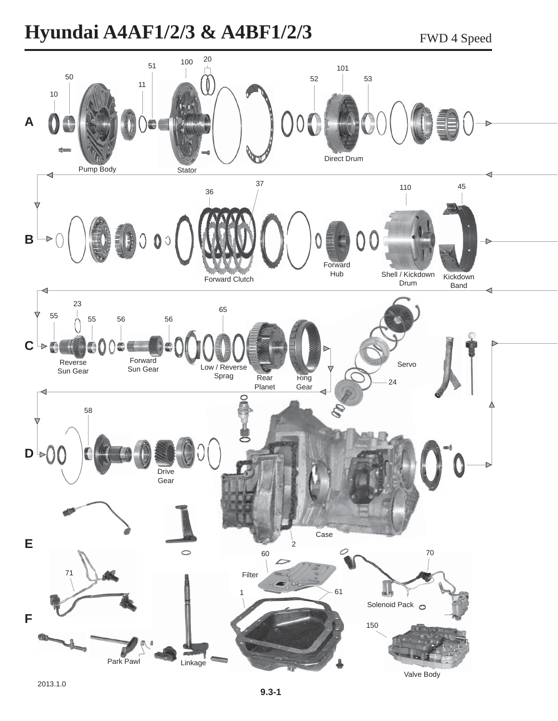## **Hyundai A4AF1/2/3 & A4BF1/2/3** FWD 4 Speed

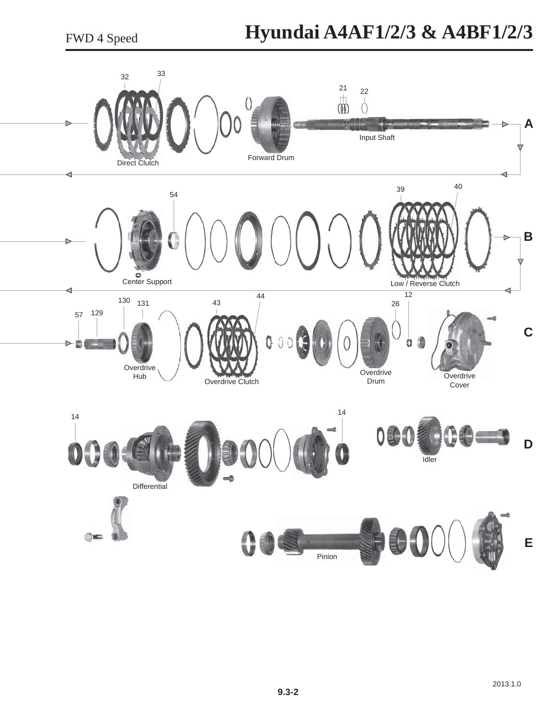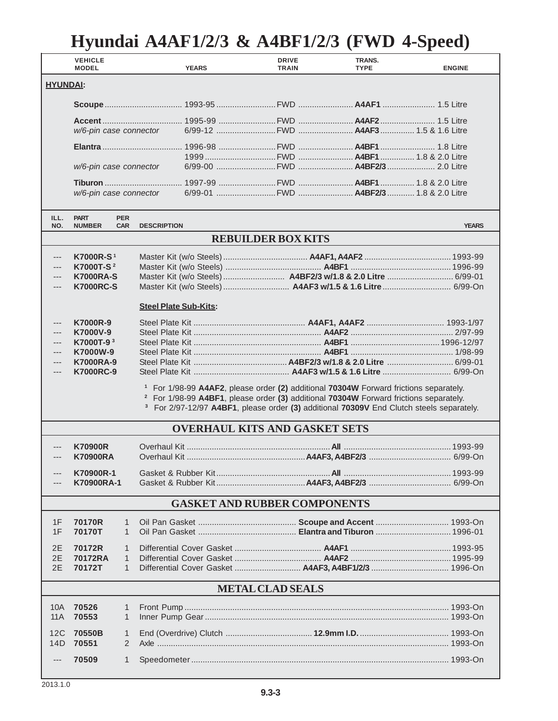## **Hyundai A4AF1/2/3 & A4BF1/2/3 (FWD 4-Speed)**

| <b>HYUNDAI:</b><br>w/6-pin case connector<br>w/6-pin case connector<br>w/6-pin case connector<br>ILL.<br><b>PART</b><br><b>PER</b><br>NO.<br><b>NUMBER</b><br><b>CAR</b><br><b>DESCRIPTION</b><br><b>YEARS</b><br><b>REBUILDER BOX KITS</b><br><b>K7000R-S1</b><br>K7000T-S <del>2</del><br><b>K7000RA-S</b><br>---<br><b>K7000RC-S</b><br>---<br><b>Steel Plate Sub-Kits:</b><br><b>K7000R-9</b><br>---<br>K7000V-9<br>---<br>K7000T-9 <sup>3</sup><br>---<br>K7000W-9<br>---<br><b>K7000RA-9</b><br>---<br><b>K7000RC-9</b><br>---<br><sup>1</sup> For 1/98-99 A4AF2, please order (2) additional 70304W Forward frictions separately.<br><sup>2</sup> For 1/98-99 A4BF1, please order (3) additional 70304W Forward frictions separately.<br><sup>3</sup> For 2/97-12/97 A4BF1, please order (3) additional 70309V End Clutch steels separately.<br><b>OVERHAUL KITS AND GASKET SETS</b><br><b>K70900R</b><br><b>K70900RA</b><br>---<br>K70900R-1<br>K70900RA-1<br><b>GASKET AND RUBBER COMPONENTS</b><br>70170R<br>1F<br>1<br>70170T<br>1F<br>$\mathbf{1}$<br>2E<br>70172R<br>1<br>2E<br>70172RA<br>1<br>2E<br>70172T<br>1<br><b>METAL CLAD SEALS</b><br>10A<br>70526<br>1<br>70553<br>$\mathbf{1}$<br>11A<br>70550B<br>12C<br>1<br>14D<br>70551<br>2<br>70509<br>1<br>$---$ |  | <b>VEHICLE</b><br><b>MODEL</b> |  |  | <b>YEARS</b> | <b>DRIVE</b><br><b>TRAIN</b> | TRANS.<br><b>TYPE</b> | <b>ENGINE</b> |
|----------------------------------------------------------------------------------------------------------------------------------------------------------------------------------------------------------------------------------------------------------------------------------------------------------------------------------------------------------------------------------------------------------------------------------------------------------------------------------------------------------------------------------------------------------------------------------------------------------------------------------------------------------------------------------------------------------------------------------------------------------------------------------------------------------------------------------------------------------------------------------------------------------------------------------------------------------------------------------------------------------------------------------------------------------------------------------------------------------------------------------------------------------------------------------------------------------------------------------------------------------------------------------|--|--------------------------------|--|--|--------------|------------------------------|-----------------------|---------------|
|                                                                                                                                                                                                                                                                                                                                                                                                                                                                                                                                                                                                                                                                                                                                                                                                                                                                                                                                                                                                                                                                                                                                                                                                                                                                                  |  |                                |  |  |              |                              |                       |               |
|                                                                                                                                                                                                                                                                                                                                                                                                                                                                                                                                                                                                                                                                                                                                                                                                                                                                                                                                                                                                                                                                                                                                                                                                                                                                                  |  |                                |  |  |              |                              |                       |               |
|                                                                                                                                                                                                                                                                                                                                                                                                                                                                                                                                                                                                                                                                                                                                                                                                                                                                                                                                                                                                                                                                                                                                                                                                                                                                                  |  |                                |  |  |              |                              |                       |               |
|                                                                                                                                                                                                                                                                                                                                                                                                                                                                                                                                                                                                                                                                                                                                                                                                                                                                                                                                                                                                                                                                                                                                                                                                                                                                                  |  |                                |  |  |              |                              |                       |               |
|                                                                                                                                                                                                                                                                                                                                                                                                                                                                                                                                                                                                                                                                                                                                                                                                                                                                                                                                                                                                                                                                                                                                                                                                                                                                                  |  |                                |  |  |              |                              |                       |               |
|                                                                                                                                                                                                                                                                                                                                                                                                                                                                                                                                                                                                                                                                                                                                                                                                                                                                                                                                                                                                                                                                                                                                                                                                                                                                                  |  |                                |  |  |              |                              |                       |               |
|                                                                                                                                                                                                                                                                                                                                                                                                                                                                                                                                                                                                                                                                                                                                                                                                                                                                                                                                                                                                                                                                                                                                                                                                                                                                                  |  |                                |  |  |              |                              |                       |               |
|                                                                                                                                                                                                                                                                                                                                                                                                                                                                                                                                                                                                                                                                                                                                                                                                                                                                                                                                                                                                                                                                                                                                                                                                                                                                                  |  |                                |  |  |              |                              |                       |               |
|                                                                                                                                                                                                                                                                                                                                                                                                                                                                                                                                                                                                                                                                                                                                                                                                                                                                                                                                                                                                                                                                                                                                                                                                                                                                                  |  |                                |  |  |              |                              |                       |               |
|                                                                                                                                                                                                                                                                                                                                                                                                                                                                                                                                                                                                                                                                                                                                                                                                                                                                                                                                                                                                                                                                                                                                                                                                                                                                                  |  |                                |  |  |              |                              |                       |               |
|                                                                                                                                                                                                                                                                                                                                                                                                                                                                                                                                                                                                                                                                                                                                                                                                                                                                                                                                                                                                                                                                                                                                                                                                                                                                                  |  |                                |  |  |              |                              |                       |               |
|                                                                                                                                                                                                                                                                                                                                                                                                                                                                                                                                                                                                                                                                                                                                                                                                                                                                                                                                                                                                                                                                                                                                                                                                                                                                                  |  |                                |  |  |              |                              |                       |               |
|                                                                                                                                                                                                                                                                                                                                                                                                                                                                                                                                                                                                                                                                                                                                                                                                                                                                                                                                                                                                                                                                                                                                                                                                                                                                                  |  |                                |  |  |              |                              |                       |               |
|                                                                                                                                                                                                                                                                                                                                                                                                                                                                                                                                                                                                                                                                                                                                                                                                                                                                                                                                                                                                                                                                                                                                                                                                                                                                                  |  |                                |  |  |              |                              |                       |               |
|                                                                                                                                                                                                                                                                                                                                                                                                                                                                                                                                                                                                                                                                                                                                                                                                                                                                                                                                                                                                                                                                                                                                                                                                                                                                                  |  |                                |  |  |              |                              |                       |               |
|                                                                                                                                                                                                                                                                                                                                                                                                                                                                                                                                                                                                                                                                                                                                                                                                                                                                                                                                                                                                                                                                                                                                                                                                                                                                                  |  |                                |  |  |              |                              |                       |               |
|                                                                                                                                                                                                                                                                                                                                                                                                                                                                                                                                                                                                                                                                                                                                                                                                                                                                                                                                                                                                                                                                                                                                                                                                                                                                                  |  |                                |  |  |              |                              |                       |               |
|                                                                                                                                                                                                                                                                                                                                                                                                                                                                                                                                                                                                                                                                                                                                                                                                                                                                                                                                                                                                                                                                                                                                                                                                                                                                                  |  |                                |  |  |              |                              |                       |               |
|                                                                                                                                                                                                                                                                                                                                                                                                                                                                                                                                                                                                                                                                                                                                                                                                                                                                                                                                                                                                                                                                                                                                                                                                                                                                                  |  |                                |  |  |              |                              |                       |               |
|                                                                                                                                                                                                                                                                                                                                                                                                                                                                                                                                                                                                                                                                                                                                                                                                                                                                                                                                                                                                                                                                                                                                                                                                                                                                                  |  |                                |  |  |              |                              |                       |               |
|                                                                                                                                                                                                                                                                                                                                                                                                                                                                                                                                                                                                                                                                                                                                                                                                                                                                                                                                                                                                                                                                                                                                                                                                                                                                                  |  |                                |  |  |              |                              |                       |               |
|                                                                                                                                                                                                                                                                                                                                                                                                                                                                                                                                                                                                                                                                                                                                                                                                                                                                                                                                                                                                                                                                                                                                                                                                                                                                                  |  |                                |  |  |              |                              |                       |               |
|                                                                                                                                                                                                                                                                                                                                                                                                                                                                                                                                                                                                                                                                                                                                                                                                                                                                                                                                                                                                                                                                                                                                                                                                                                                                                  |  |                                |  |  |              |                              |                       |               |
|                                                                                                                                                                                                                                                                                                                                                                                                                                                                                                                                                                                                                                                                                                                                                                                                                                                                                                                                                                                                                                                                                                                                                                                                                                                                                  |  |                                |  |  |              |                              |                       |               |
|                                                                                                                                                                                                                                                                                                                                                                                                                                                                                                                                                                                                                                                                                                                                                                                                                                                                                                                                                                                                                                                                                                                                                                                                                                                                                  |  |                                |  |  |              |                              |                       |               |
|                                                                                                                                                                                                                                                                                                                                                                                                                                                                                                                                                                                                                                                                                                                                                                                                                                                                                                                                                                                                                                                                                                                                                                                                                                                                                  |  |                                |  |  |              |                              |                       |               |
|                                                                                                                                                                                                                                                                                                                                                                                                                                                                                                                                                                                                                                                                                                                                                                                                                                                                                                                                                                                                                                                                                                                                                                                                                                                                                  |  |                                |  |  |              |                              |                       |               |
|                                                                                                                                                                                                                                                                                                                                                                                                                                                                                                                                                                                                                                                                                                                                                                                                                                                                                                                                                                                                                                                                                                                                                                                                                                                                                  |  |                                |  |  |              |                              |                       |               |
|                                                                                                                                                                                                                                                                                                                                                                                                                                                                                                                                                                                                                                                                                                                                                                                                                                                                                                                                                                                                                                                                                                                                                                                                                                                                                  |  |                                |  |  |              |                              |                       |               |
|                                                                                                                                                                                                                                                                                                                                                                                                                                                                                                                                                                                                                                                                                                                                                                                                                                                                                                                                                                                                                                                                                                                                                                                                                                                                                  |  |                                |  |  |              |                              |                       |               |
|                                                                                                                                                                                                                                                                                                                                                                                                                                                                                                                                                                                                                                                                                                                                                                                                                                                                                                                                                                                                                                                                                                                                                                                                                                                                                  |  |                                |  |  |              |                              |                       |               |
|                                                                                                                                                                                                                                                                                                                                                                                                                                                                                                                                                                                                                                                                                                                                                                                                                                                                                                                                                                                                                                                                                                                                                                                                                                                                                  |  |                                |  |  |              |                              |                       |               |
|                                                                                                                                                                                                                                                                                                                                                                                                                                                                                                                                                                                                                                                                                                                                                                                                                                                                                                                                                                                                                                                                                                                                                                                                                                                                                  |  |                                |  |  |              |                              |                       |               |
|                                                                                                                                                                                                                                                                                                                                                                                                                                                                                                                                                                                                                                                                                                                                                                                                                                                                                                                                                                                                                                                                                                                                                                                                                                                                                  |  |                                |  |  |              |                              |                       |               |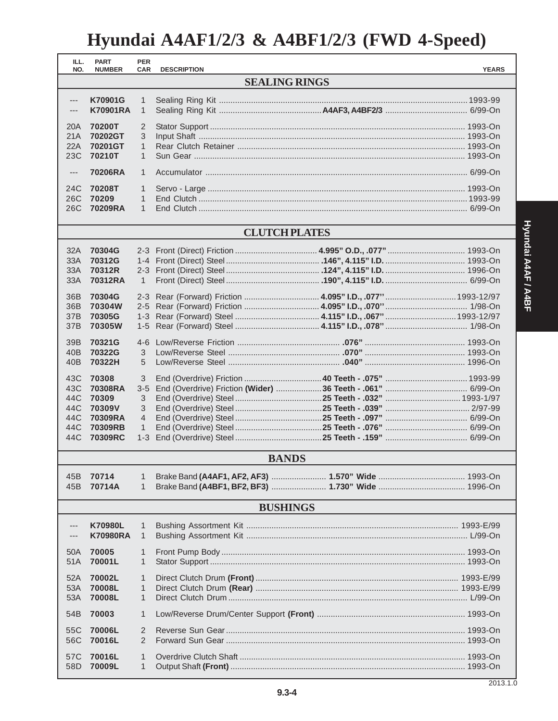## Hyundai A4AF1/2/3 & A4BF1/2/3 (FWD 4-Speed)

| ILL.<br>NO.                                              | <b>PART</b><br><b>NUMBER</b> | <b>PER</b><br><b>CAR</b>     | <b>DESCRIPTION</b> |  | <b>YEARS</b> |  |  |  |  |
|----------------------------------------------------------|------------------------------|------------------------------|--------------------|--|--------------|--|--|--|--|
|                                                          | <b>SEALING RINGS</b>         |                              |                    |  |              |  |  |  |  |
|                                                          |                              |                              |                    |  |              |  |  |  |  |
| K70901G<br>$\qquad \qquad - -$<br><b>K70901RA</b><br>--- |                              | $\mathbf{1}$<br>$\mathbf{1}$ |                    |  |              |  |  |  |  |
|                                                          |                              |                              |                    |  |              |  |  |  |  |
| 20A                                                      | 70200T                       | 2                            |                    |  |              |  |  |  |  |
| 21A<br>22A                                               | 70202GT<br>70201GT           | 3<br>$\mathbf{1}$            |                    |  |              |  |  |  |  |
| 23C                                                      | 70210T                       | $\mathbf{1}$                 |                    |  |              |  |  |  |  |
|                                                          |                              |                              |                    |  |              |  |  |  |  |
| $\qquad \qquad - -$                                      | 70206RA                      | $\mathbf{1}$                 |                    |  |              |  |  |  |  |
| 24C                                                      | 70208T                       | $\mathbf{1}$                 |                    |  |              |  |  |  |  |
| 26C<br>26C                                               | 70209<br>70209RA             | 1<br>1                       |                    |  |              |  |  |  |  |
|                                                          |                              |                              |                    |  |              |  |  |  |  |
| <b>CLUTCH PLATES</b>                                     |                              |                              |                    |  |              |  |  |  |  |
| 32A                                                      | 70304G                       |                              |                    |  |              |  |  |  |  |
| 33A                                                      | 70312G                       |                              |                    |  |              |  |  |  |  |
| 33A                                                      | 70312R                       |                              |                    |  |              |  |  |  |  |
| 33A                                                      | 70312RA                      | $\mathbf{1}$                 |                    |  |              |  |  |  |  |
| 36B                                                      | 70304G                       |                              |                    |  |              |  |  |  |  |
| 36B                                                      | 70304W                       | $2 - 5$                      |                    |  |              |  |  |  |  |
| 37B                                                      | 70305G                       | $1 - 3$                      |                    |  |              |  |  |  |  |
| 37B                                                      | 70305W                       | $1 - 5$                      |                    |  |              |  |  |  |  |
| 39B                                                      | 70321G                       | $4-6$                        |                    |  |              |  |  |  |  |
| 40B                                                      | 70322G                       | 3                            |                    |  |              |  |  |  |  |
| 40B                                                      | 70322H                       | 5                            |                    |  |              |  |  |  |  |
| 43C                                                      | 70308                        | 3                            |                    |  |              |  |  |  |  |
| 43C                                                      | 70308RA                      | $3 - 5$                      |                    |  |              |  |  |  |  |
| 44C                                                      | 70309                        | 3                            |                    |  |              |  |  |  |  |
| 44C                                                      | 70309V                       | 3                            |                    |  |              |  |  |  |  |
| 44C                                                      | 70309RA                      | $\overline{4}$               |                    |  |              |  |  |  |  |
| 44C<br>44C                                               | 70309RB<br>70309RC           | $\mathbf{1}$<br>$1 - 3$      |                    |  |              |  |  |  |  |
|                                                          |                              |                              |                    |  |              |  |  |  |  |
|                                                          |                              |                              | <b>BANDS</b>       |  |              |  |  |  |  |
| 45B I                                                    | 70714                        | 1                            |                    |  |              |  |  |  |  |
| 45B                                                      | 70714A                       | $\mathbf{1}$                 |                    |  |              |  |  |  |  |
|                                                          |                              |                              | <b>BUSHINGS</b>    |  |              |  |  |  |  |
| <b>K70980L</b><br>1<br>---                               |                              |                              |                    |  |              |  |  |  |  |
|                                                          | <b>K70980RA</b>              | 1                            |                    |  |              |  |  |  |  |
| 50A                                                      | 70005                        | 1                            |                    |  |              |  |  |  |  |
| 51A                                                      | 70001L                       | $\mathbf{1}$                 |                    |  |              |  |  |  |  |
|                                                          |                              |                              |                    |  |              |  |  |  |  |
| 52A<br>53A                                               | 70002L<br>70008L             | 1<br>1                       |                    |  |              |  |  |  |  |
| 53A                                                      | 70008L                       | $\mathbf{1}$                 |                    |  |              |  |  |  |  |
| 54B                                                      | 70003                        | $\mathbf{1}$                 |                    |  |              |  |  |  |  |
|                                                          |                              |                              |                    |  |              |  |  |  |  |
| 55C<br>56C                                               | 70006L<br>70016L             | 2<br>$\overline{2}$          |                    |  |              |  |  |  |  |
|                                                          |                              |                              |                    |  |              |  |  |  |  |
| 57C                                                      | 70016L                       | 1                            |                    |  |              |  |  |  |  |
| 58D                                                      | 70009L                       | $\mathbf{1}$                 |                    |  |              |  |  |  |  |